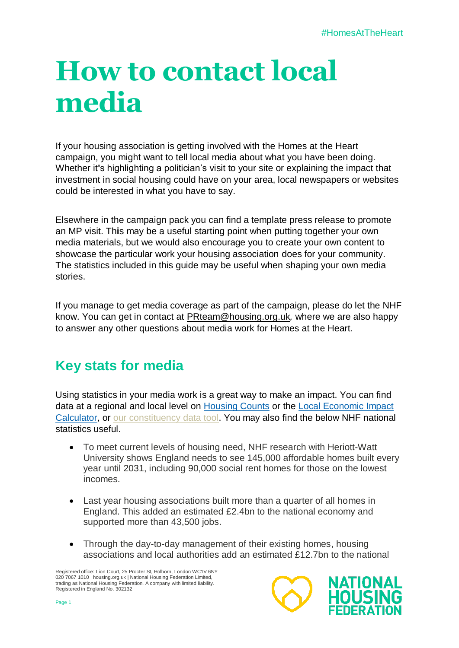## **How to contact local media**

If your housing association is getting involved with the Homes at the Heart campaign, you might want to tell local media about what you have been doing. Whether it**'**s highlighting a politician's visit to your site or explaining the impact that investment in social housing could have on your area, local newspapers or websites could be interested in what you have to say.

Elsewhere in the campaign pack you can find a template press release to promote an MP visit. Th**i**s may be a useful starting point when putting together your own media materials, but we would also encourage you to create your own content to showcase the particular work your housing association does for your community. The statistics included in this guide may be useful when shaping your own media stories.

If you manage to get media coverage as part of the campaign, please do let the NHF know. You can get in contact at [PRteam@housing.org.uk](mailto:PRteam@housing.org.uk)*,* where we are also happy to answer any other questions about media work for Homes at the Heart.

## **Key stats for media**

Using statistics in your media work is a great way to make an impact. You can find data at a regional and local level on [Housing Counts](https://counts.housing.org.uk/) or the Local Economic Impact [Calculator,](https://www.housing.org.uk/resources/local-economic-impact-calculator/) or [our constituency data tool.](https://housing.org.uk/resources/constituency-data/) You may also find the below NHF national statistics useful.

- To meet current levels of housing need, NHF research with Heriott-Watt University shows England needs to see 145,000 affordable homes built every year until 2031, including 90,000 social rent homes for those on the lowest incomes.
- Last year housing associations built more than a quarter of all homes in England. This added an estimated £2.4bn to the national economy and supported more than 43,500 jobs.
- Through the day-to-day management of their existing homes, housing associations and local authorities add an estimated £12.7bn to the national

Registered office: Lion Court, 25 Procter St, Holborn, London WC1V 6NY 020 7067 1010 | housing.org.uk | National Housing Federation Limited, trading as National Housing Federation. A company with limited liability. Registered in England No. 302132

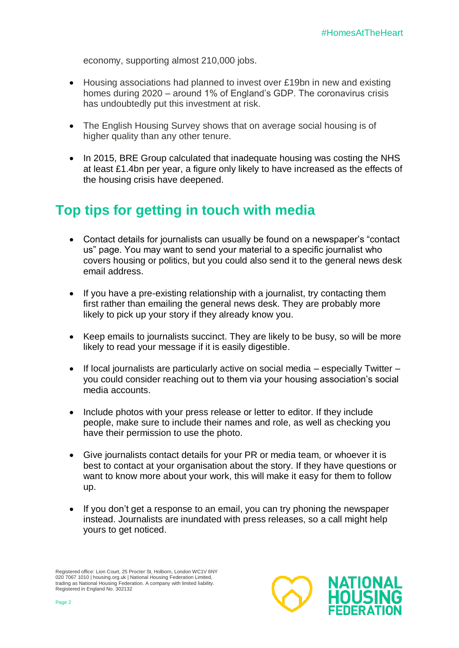economy, supporting almost 210,000 jobs.

- Housing associations had planned to invest over £19bn in new and existing homes during 2020 – around 1% of England's GDP. The coronavirus crisis has undoubtedly put this investment at risk.
- The English Housing Survey shows that on average social housing is of higher quality than any other tenure.
- In 2015, BRE Group calculated that inadequate housing was costing the NHS at least £1.4bn per year, a figure only likely to have increased as the effects of the housing crisis have deepened.

## **Top tips for getting in touch with media**

- Contact details for journalists can usually be found on a newspaper's "contact us" page. You may want to send your material to a specific journalist who covers housing or politics, but you could also send it to the general news desk email address.
- If you have a pre-existing relationship with a journalist, try contacting them first rather than emailing the general news desk. They are probably more likely to pick up your story if they already know you.
- Keep emails to journalists succinct. They are likely to be busy, so will be more likely to read your message if it is easily digestible.
- $\bullet$  If local journalists are particularly active on social media especially Twitter you could consider reaching out to them via your housing association's social media accounts.
- Include photos with your press release or letter to editor. If they include people, make sure to include their names and role, as well as checking you have their permission to use the photo.
- Give journalists contact details for your PR or media team, or whoever it is best to contact at your organisation about the story. If they have questions or want to know more about your work, this will make it easy for them to follow up.
- If you don't get a response to an email, you can try phoning the newspaper instead. Journalists are inundated with press releases, so a call might help yours to get noticed.

Registered office: Lion Court, 25 Procter St, Holborn, London WC1V 6NY 020 7067 1010 | housing.org.uk | National Housing Federation Limited,<br>trading as National Housing Federation. A company with limited liability. Registered in England No. 302132